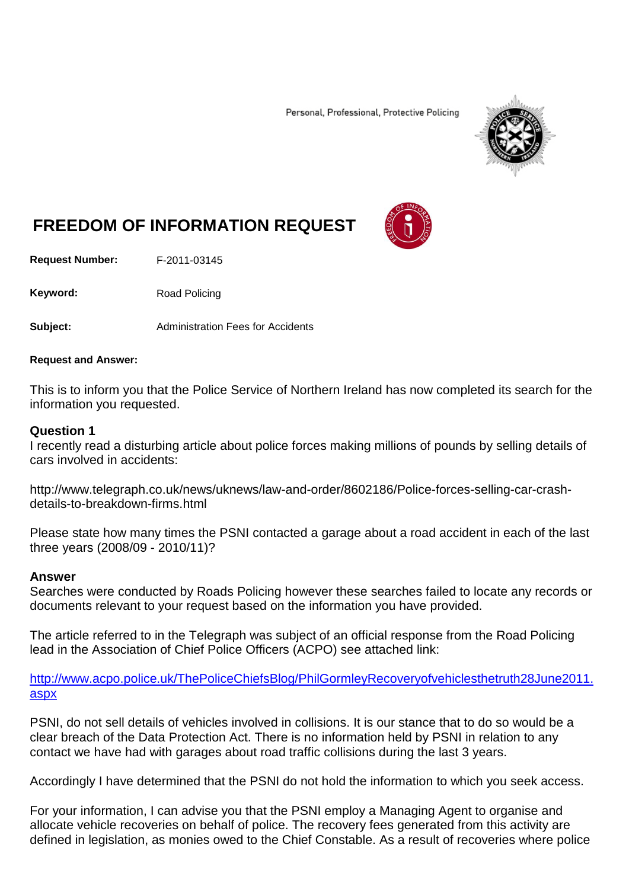Personal, Professional, Protective Policing



# **FREEDOM OF INFORMATION REQUEST**

**Request Number:** F-2011-03145

Keyword: Road Policing

**Subject:** Administration Fees for Accidents

#### **Request and Answer:**

This is to inform you that the Police Service of Northern Ireland has now completed its search for the information you requested.

#### **Question 1**

I recently read a disturbing article about police forces making millions of pounds by selling details of cars involved in accidents:

http://www.telegraph.co.uk/news/uknews/law-and-order/8602186/Police-forces-selling-car-crashdetails-to-breakdown-firms.html

Please state how many times the PSNI contacted a garage about a road accident in each of the last three years (2008/09 - 2010/11)?

#### **Answer**

Searches were conducted by Roads Policing however these searches failed to locate any records or documents relevant to your request based on the information you have provided.

The article referred to in the Telegraph was subject of an official response from the Road Policing lead in the Association of Chief Police Officers (ACPO) see attached link:

[http://www.acpo.police.uk/ThePoliceChiefsBlog/PhilGormleyRecoveryofvehiclesthetruth28June2011.](http://www.acpo.police.uk/ThePoliceChiefsBlog/PhilGormleyRecoveryofvehiclesthetruth28June2011.aspx) [aspx](http://www.acpo.police.uk/ThePoliceChiefsBlog/PhilGormleyRecoveryofvehiclesthetruth28June2011.aspx)

PSNI, do not sell details of vehicles involved in collisions. It is our stance that to do so would be a clear breach of the Data Protection Act. There is no information held by PSNI in relation to any contact we have had with garages about road traffic collisions during the last 3 years.

Accordingly I have determined that the PSNI do not hold the information to which you seek access.

For your information, I can advise you that the PSNI employ a Managing Agent to organise and allocate vehicle recoveries on behalf of police. The recovery fees generated from this activity are defined in legislation, as monies owed to the Chief Constable. As a result of recoveries where police